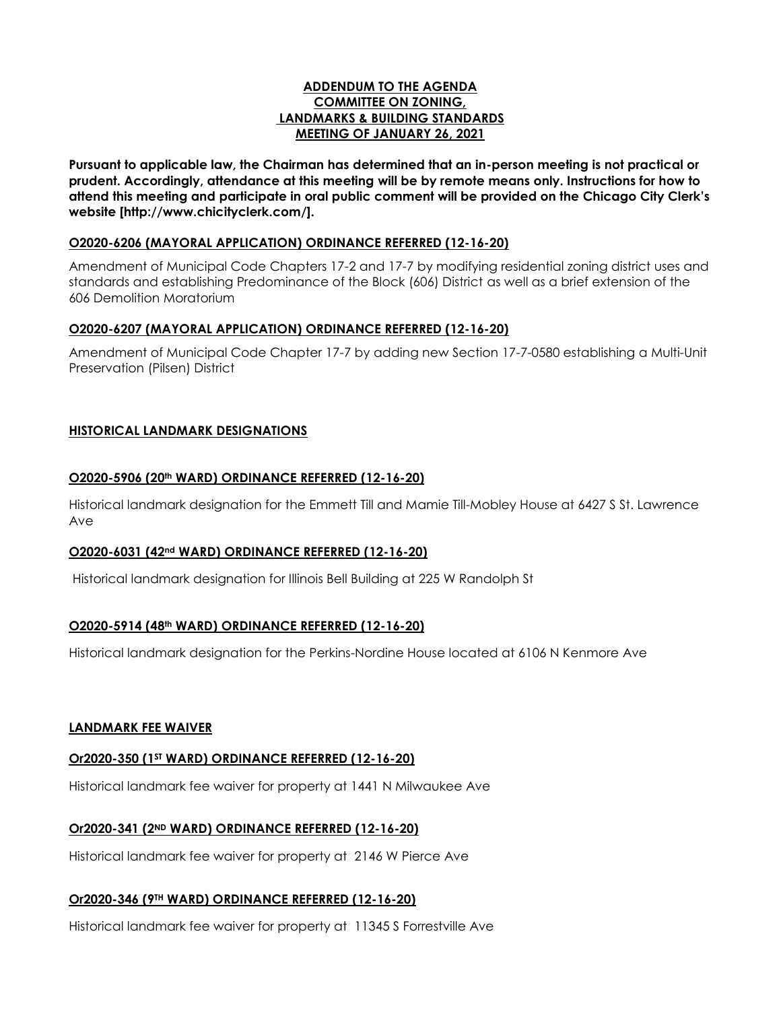### **ADDENDUM TO THE AGENDA COMMITTEE ON ZONING, LANDMARKS & BUILDING STANDARDS MEETING OF JANUARY 26, 2021**

**Pursuant to applicable law, the Chairman has determined that an in-person meeting is not practical or prudent. Accordingly, attendance at this meeting will be by remote means only. Instructions for how to attend this meeting and participate in oral public comment will be provided on the Chicago City Clerk's website [http://www.chicityclerk.com/].**

### **O2020-6206 (MAYORAL APPLICATION) ORDINANCE REFERRED (12-16-20)**

Amendment of Municipal Code Chapters 17-2 and 17-7 by modifying residential zoning district uses and standards and establishing Predominance of the Block (606) District as well as a brief extension of the 606 Demolition Moratorium

## **O2020-6207 (MAYORAL APPLICATION) ORDINANCE REFERRED (12-16-20)**

Amendment of Municipal Code Chapter 17-7 by adding new Section 17-7-0580 establishing a Multi-Unit Preservation (Pilsen) District

## **HISTORICAL LANDMARK DESIGNATIONS**

### **O2020-5906 (20th WARD) ORDINANCE REFERRED (12-16-20)**

Historical landmark designation for the Emmett Till and Mamie Till-Mobley House at 6427 S St. Lawrence Ave

## **O2020-6031 (42nd WARD) ORDINANCE REFERRED (12-16-20)**

Historical landmark designation for Illinois Bell Building at 225 W Randolph St

## **O2020-5914 (48th WARD) ORDINANCE REFERRED (12-16-20)**

Historical landmark designation for the Perkins-Nordine House located at 6106 N Kenmore Ave

#### **LANDMARK FEE WAIVER**

## **Or2020-350 (1ST WARD) ORDINANCE REFERRED (12-16-20)**

Historical landmark fee waiver for property at 1441 N Milwaukee Ave

## **Or2020-341 (2ND WARD) ORDINANCE REFERRED (12-16-20)**

Historical landmark fee waiver for property at 2146 W Pierce Ave

## **Or2020-346 (9TH WARD) ORDINANCE REFERRED (12-16-20)**

Historical landmark fee waiver for property at 11345 S Forrestville Ave